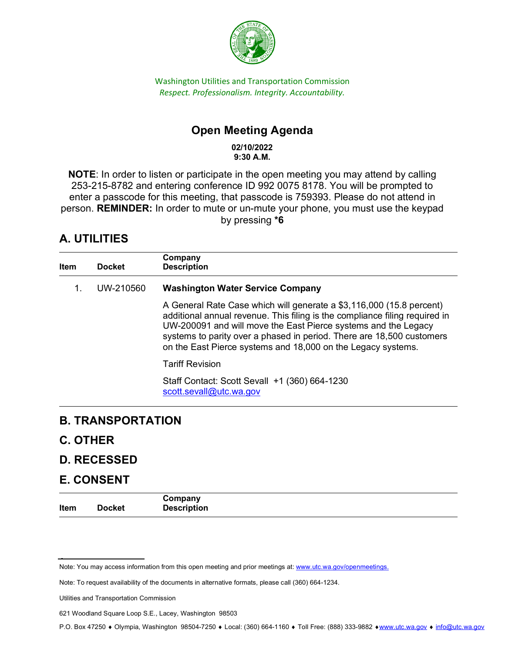

Washington Utilities and Transportation Commission *Respect. Professionalism. Integrity. Accountability.* 

# **Open Meeting Agenda**

**02/10/2022 9:30 A.M.**

**NOTE**: In order to listen or participate in the open meeting you may attend by calling 253-215-8782 and entering conference ID 992 0075 8178. You will be prompted to enter a passcode for this meeting, that passcode is 759393. Please do not attend in person. **REMINDER:** In order to mute or un-mute your phone, you must use the keypad by pressing **\*6**

# **A. UTILITIES**

| Item | <b>Docket</b><br>UW-210560 | Company<br><b>Description</b>                                                                                                                                                                                                                                                                                                                                  |  |
|------|----------------------------|----------------------------------------------------------------------------------------------------------------------------------------------------------------------------------------------------------------------------------------------------------------------------------------------------------------------------------------------------------------|--|
| 1.   |                            | <b>Washington Water Service Company</b>                                                                                                                                                                                                                                                                                                                        |  |
|      |                            | A General Rate Case which will generate a \$3,116,000 (15.8 percent)<br>additional annual revenue. This filing is the compliance filing required in<br>UW-200091 and will move the East Pierce systems and the Legacy<br>systems to parity over a phased in period. There are 18,500 customers<br>on the East Pierce systems and 18,000 on the Legacy systems. |  |
|      |                            | <b>Tariff Revision</b>                                                                                                                                                                                                                                                                                                                                         |  |
|      |                            | Staff Contact: Scott Sevall +1 (360) 664-1230<br>scott.sevall@utc.wa.gov                                                                                                                                                                                                                                                                                       |  |
|      |                            |                                                                                                                                                                                                                                                                                                                                                                |  |

### **B. TRANSPORTATION**

- **C. OTHER**
- **D. RECESSED**

### **E. CONSENT**

| Item | <b>Docket</b> | Company<br><b>Description</b> |
|------|---------------|-------------------------------|
|      |               |                               |

Note: You may access information from this open meeting and prior meetings at: www.utc.wa.gov/openmeetings.

Note: To request availability of the documents in alternative formats, please call (360) 664-1234.

Utilities and Transportation Commission

<sup>621</sup> Woodland Square Loop S.E., Lacey, Washington 98503

P.O. Box 47250 ♦ Olympia, Washington 98504-7250 ♦ Local: (360) 664-1160 ♦ Toll Free: (888) 333-9882 ♦[www.utc.wa.gov](http://www.utc.wa.gov/) ♦ [info@utc.wa.gov](mailto:info@utc.wa.gov)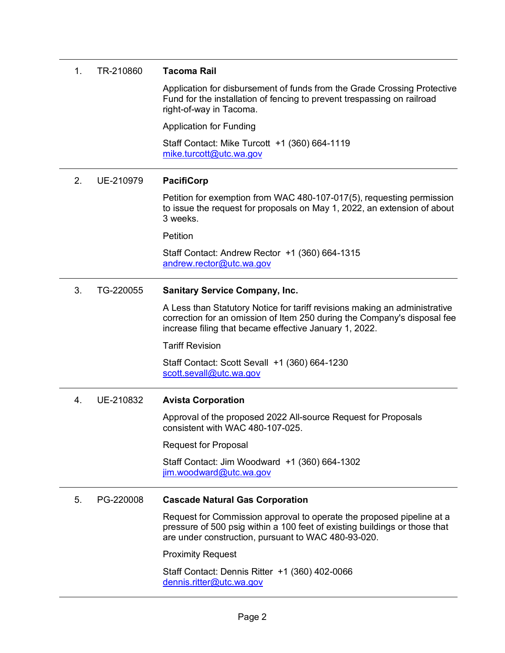| 1. | TR-210860 | <b>Tacoma Rail</b>                                                                                                                                                                                               |  |  |
|----|-----------|------------------------------------------------------------------------------------------------------------------------------------------------------------------------------------------------------------------|--|--|
|    |           | Application for disbursement of funds from the Grade Crossing Protective<br>Fund for the installation of fencing to prevent trespassing on railroad<br>right-of-way in Tacoma.                                   |  |  |
|    |           | <b>Application for Funding</b>                                                                                                                                                                                   |  |  |
|    |           | Staff Contact: Mike Turcott +1 (360) 664-1119<br>mike.turcott@utc.wa.gov                                                                                                                                         |  |  |
| 2. | UE-210979 | <b>PacifiCorp</b>                                                                                                                                                                                                |  |  |
|    |           | Petition for exemption from WAC 480-107-017(5), requesting permission<br>to issue the request for proposals on May 1, 2022, an extension of about<br>3 weeks.                                                    |  |  |
|    |           | Petition                                                                                                                                                                                                         |  |  |
|    |           | Staff Contact: Andrew Rector +1 (360) 664-1315<br>andrew.rector@utc.wa.gov                                                                                                                                       |  |  |
| 3. | TG-220055 | <b>Sanitary Service Company, Inc.</b>                                                                                                                                                                            |  |  |
|    |           | A Less than Statutory Notice for tariff revisions making an administrative<br>correction for an omission of Item 250 during the Company's disposal fee<br>increase filing that became effective January 1, 2022. |  |  |
|    |           | <b>Tariff Revision</b>                                                                                                                                                                                           |  |  |
|    |           | Staff Contact: Scott Sevall +1 (360) 664-1230<br>scott.sevall@utc.wa.gov                                                                                                                                         |  |  |
| 4. | UE-210832 | <b>Avista Corporation</b>                                                                                                                                                                                        |  |  |
|    |           | Approval of the proposed 2022 All-source Request for Proposals<br>consistent with WAC 480-107-025.                                                                                                               |  |  |
|    |           | <b>Request for Proposal</b>                                                                                                                                                                                      |  |  |
|    |           | Staff Contact: Jim Woodward +1 (360) 664-1302<br>jim.woodward@utc.wa.gov                                                                                                                                         |  |  |
| 5. | PG-220008 | <b>Cascade Natural Gas Corporation</b>                                                                                                                                                                           |  |  |
|    |           | Request for Commission approval to operate the proposed pipeline at a<br>pressure of 500 psig within a 100 feet of existing buildings or those that<br>are under construction, pursuant to WAC 480-93-020.       |  |  |
|    |           | <b>Proximity Request</b>                                                                                                                                                                                         |  |  |
|    |           | Staff Contact: Dennis Ritter +1 (360) 402-0066<br>dennis.ritter@utc.wa.gov                                                                                                                                       |  |  |
|    |           |                                                                                                                                                                                                                  |  |  |